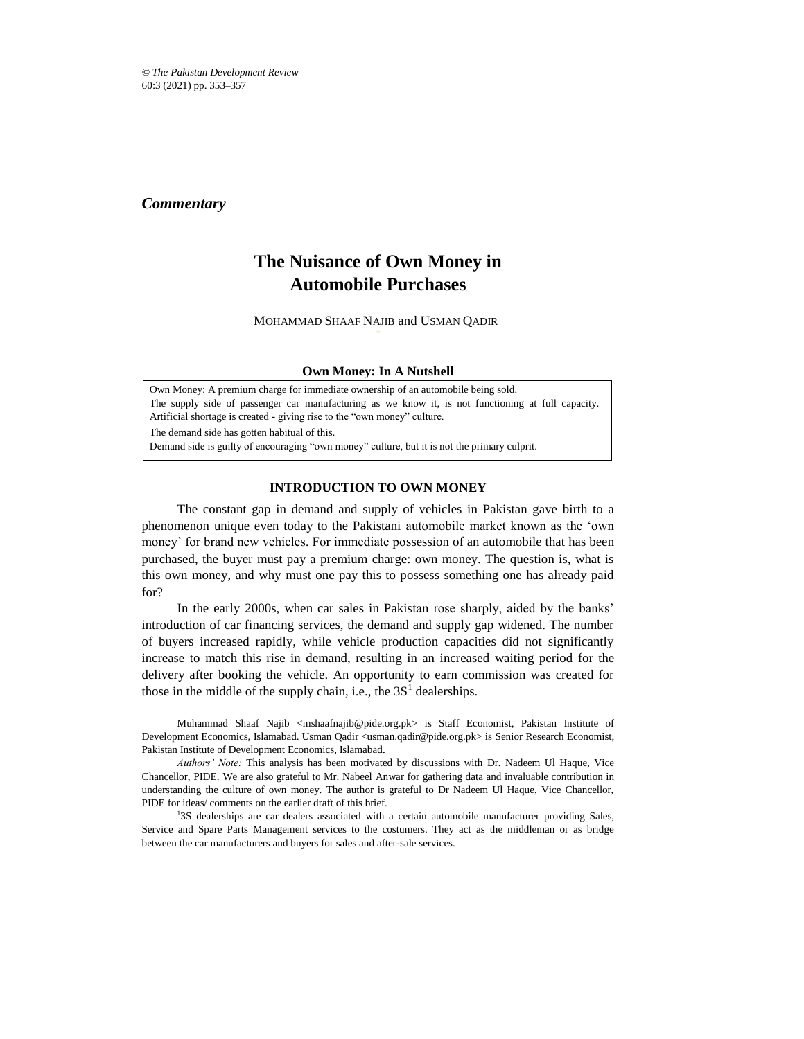*© The Pakistan Development Review* 60:3 (2021) pp. 353–357

## *Commentary*

# **The Nuisance of Own Money in Automobile Purchases**

MOHAMMAD SHAAF NAJIB and USMAN QADIR\*

#### **Own Money: In A Nutshell**

Own Money: A premium charge for immediate ownership of an automobile being sold. The supply side of passenger car manufacturing as we know it, is not functioning at full capacity. Artificial shortage is created - giving rise to the "own money" culture. The demand side has gotten habitual of this.

Demand side is guilty of encouraging "own money" culture, but it is not the primary culprit.

## **INTRODUCTION TO OWN MONEY**

The constant gap in demand and supply of vehicles in Pakistan gave birth to a phenomenon unique even today to the Pakistani automobile market known as the 'own money' for brand new vehicles. For immediate possession of an automobile that has been purchased, the buyer must pay a premium charge: own money. The question is, what is this own money, and why must one pay this to possess something one has already paid for?

In the early 2000s, when car sales in Pakistan rose sharply, aided by the banks' introduction of car financing services, the demand and supply gap widened. The number of buyers increased rapidly, while vehicle production capacities did not significantly increase to match this rise in demand, resulting in an increased waiting period for the delivery after booking the vehicle. An opportunity to earn commission was created for those in the middle of the supply chain, i.e., the  $3S<sup>1</sup>$  dealerships.

Muhammad Shaaf Najib <mshaafnajib@pide.org.pk> is Staff Economist, Pakistan Institute of Development Economics, Islamabad. Usman Qadir <usman.qadir@pide.org.pk> is Senior Research Economist, Pakistan Institute of Development Economics, Islamabad.

*Authors' Note:* This analysis has been motivated by discussions with Dr. Nadeem Ul Haque, Vice Chancellor, PIDE. We are also grateful to Mr. Nabeel Anwar for gathering data and invaluable contribution in understanding the culture of own money. The author is grateful to Dr Nadeem Ul Haque, Vice Chancellor, PIDE for ideas/ comments on the earlier draft of this brief.

<sup>1</sup>3S dealerships are car dealers associated with a certain automobile manufacturer providing Sales, Service and Spare Parts Management services to the costumers. They act as the middleman or as bridge between the car manufacturers and buyers for sales and after-sale services.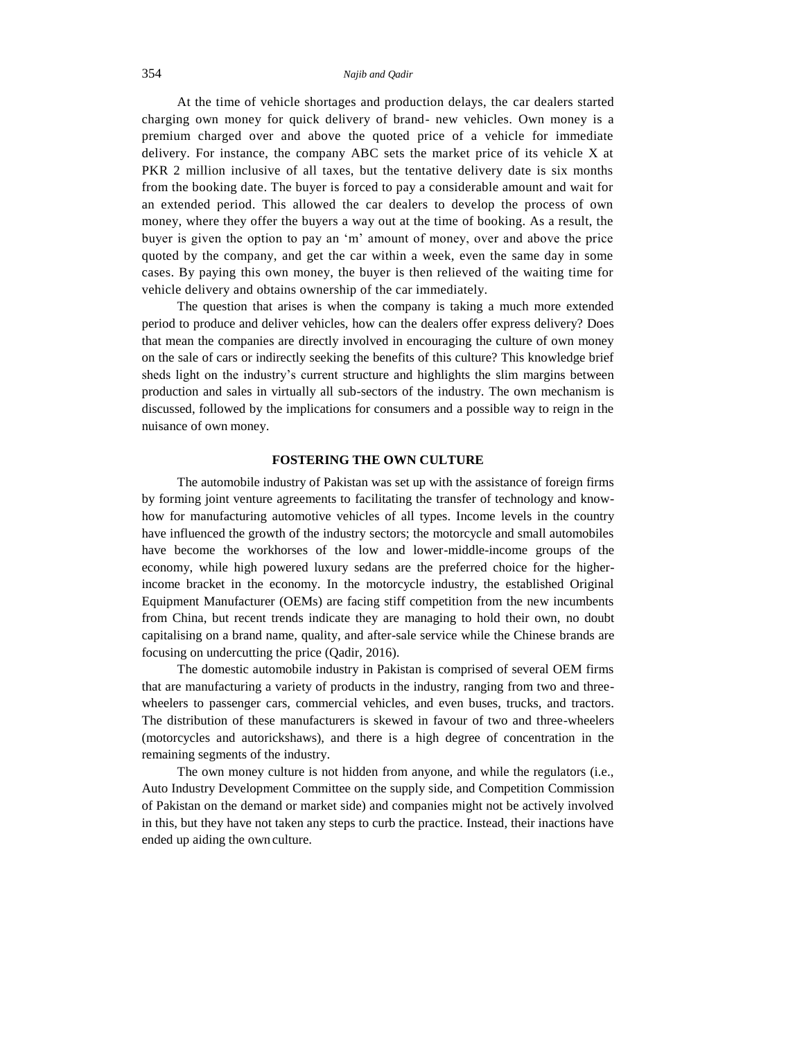#### 354 *Najib and Qadir*

At the time of vehicle shortages and production delays, the car dealers started charging own money for quick delivery of brand- new vehicles. Own money is a premium charged over and above the quoted price of a vehicle for immediate delivery. For instance, the company ABC sets the market price of its vehicle X at PKR 2 million inclusive of all taxes, but the tentative delivery date is six months from the booking date. The buyer is forced to pay a considerable amount and wait for an extended period. This allowed the car dealers to develop the process of own money, where they offer the buyers a way out at the time of booking. As a result, the buyer is given the option to pay an 'm' amount of money, over and above the price quoted by the company, and get the car within a week, even the same day in some cases. By paying this own money, the buyer is then relieved of the waiting time for vehicle delivery and obtains ownership of the car immediately.

The question that arises is when the company is taking a much more extended period to produce and deliver vehicles, how can the dealers offer express delivery? Does that mean the companies are directly involved in encouraging the culture of own money on the sale of cars or indirectly seeking the benefits of this culture? This knowledge brief sheds light on the industry's current structure and highlights the slim margins between production and sales in virtually all sub-sectors of the industry. The own mechanism is discussed, followed by the implications for consumers and a possible way to reign in the nuisance of own money.

#### **FOSTERING THE OWN CULTURE**

The automobile industry of Pakistan was set up with the assistance of foreign firms by forming joint venture agreements to facilitating the transfer of technology and knowhow for manufacturing automotive vehicles of all types. Income levels in the country have influenced the growth of the industry sectors; the motorcycle and small automobiles have become the workhorses of the low and lower-middle-income groups of the economy, while high powered luxury sedans are the preferred choice for the higherincome bracket in the economy. In the motorcycle industry, the established Original Equipment Manufacturer (OEMs) are facing stiff competition from the new incumbents from China, but recent trends indicate they are managing to hold their own, no doubt capitalising on a brand name, quality, and after-sale service while the Chinese brands are focusing on undercutting the price (Qadir, 2016).

The domestic automobile industry in Pakistan is comprised of several OEM firms that are manufacturing a variety of products in the industry, ranging from two and threewheelers to passenger cars, commercial vehicles, and even buses, trucks, and tractors. The distribution of these manufacturers is skewed in favour of two and three-wheelers (motorcycles and autorickshaws), and there is a high degree of concentration in the remaining segments of the industry.

The own money culture is not hidden from anyone, and while the regulators (i.e., Auto Industry Development Committee on the supply side, and Competition Commission of Pakistan on the demand or market side) and companies might not be actively involved in this, but they have not taken any steps to curb the practice. Instead, their inactions have ended up aiding the own culture.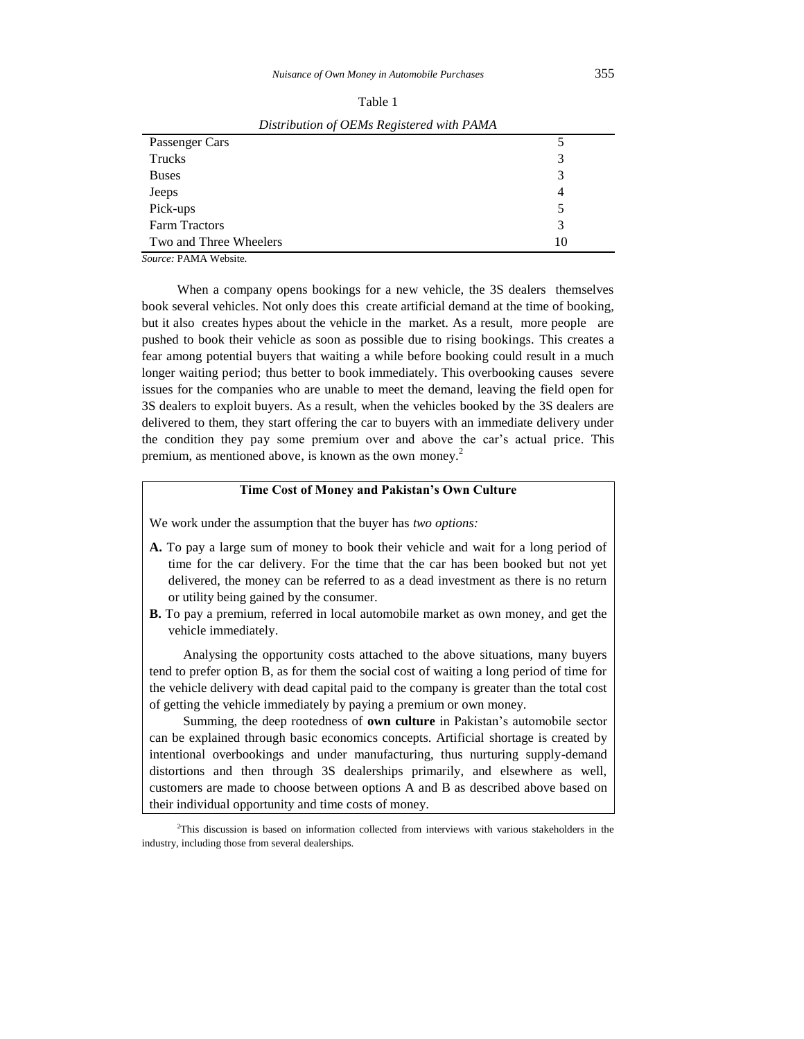| Distribution of OEMs Registered with PAMA |    |  |  |  |  |
|-------------------------------------------|----|--|--|--|--|
| Passenger Cars                            |    |  |  |  |  |
| Trucks                                    | 3  |  |  |  |  |
| <b>Buses</b>                              | 3  |  |  |  |  |
| Jeeps                                     |    |  |  |  |  |
| Pick-ups                                  |    |  |  |  |  |
| <b>Farm Tractors</b>                      | 3  |  |  |  |  |
| Two and Three Wheelers                    | 10 |  |  |  |  |

Table 1

*Source:* PAMA Website.

When a company opens bookings for a new vehicle, the 3S dealers themselves book several vehicles. Not only does this create artificial demand at the time of booking, but it also creates hypes about the vehicle in the market. As a result, more people are pushed to book their vehicle as soon as possible due to rising bookings. This creates a fear among potential buyers that waiting a while before booking could result in a much longer waiting period; thus better to book immediately. This overbooking causes severe issues for the companies who are unable to meet the demand, leaving the field open for 3S dealers to exploit buyers. As a result, when the vehicles booked by the 3S dealers are delivered to them, they start offering the car to buyers with an immediate delivery under the condition they pay some premium over and above the car's actual price. This premium, as mentioned above, is known as the own money.<sup>2</sup>

## **Time Cost of Money and Pakistan's Own Culture**

We work under the assumption that the buyer has *two options:*

- **A.** To pay a large sum of money to book their vehicle and wait for a long period of time for the car delivery. For the time that the car has been booked but not yet delivered, the money can be referred to as a dead investment as there is no return or utility being gained by the consumer.
- **B.** To pay a premium, referred in local automobile market as own money, and get the vehicle immediately.

Analysing the opportunity costs attached to the above situations, many buyers tend to prefer option B, as for them the social cost of waiting a long period of time for the vehicle delivery with dead capital paid to the company is greater than the total cost of getting the vehicle immediately by paying a premium or own money.

Summing, the deep rootedness of **own culture** in Pakistan's automobile sector can be explained through basic economics concepts. Artificial shortage is created by intentional overbookings and under manufacturing, thus nurturing supply-demand distortions and then through 3S dealerships primarily, and elsewhere as well, customers are made to choose between options A and B as described above based on their individual opportunity and time costs of money.

<sup>&</sup>lt;sup>2</sup>This discussion is based on information collected from interviews with various stakeholders in the industry, including those from several dealerships.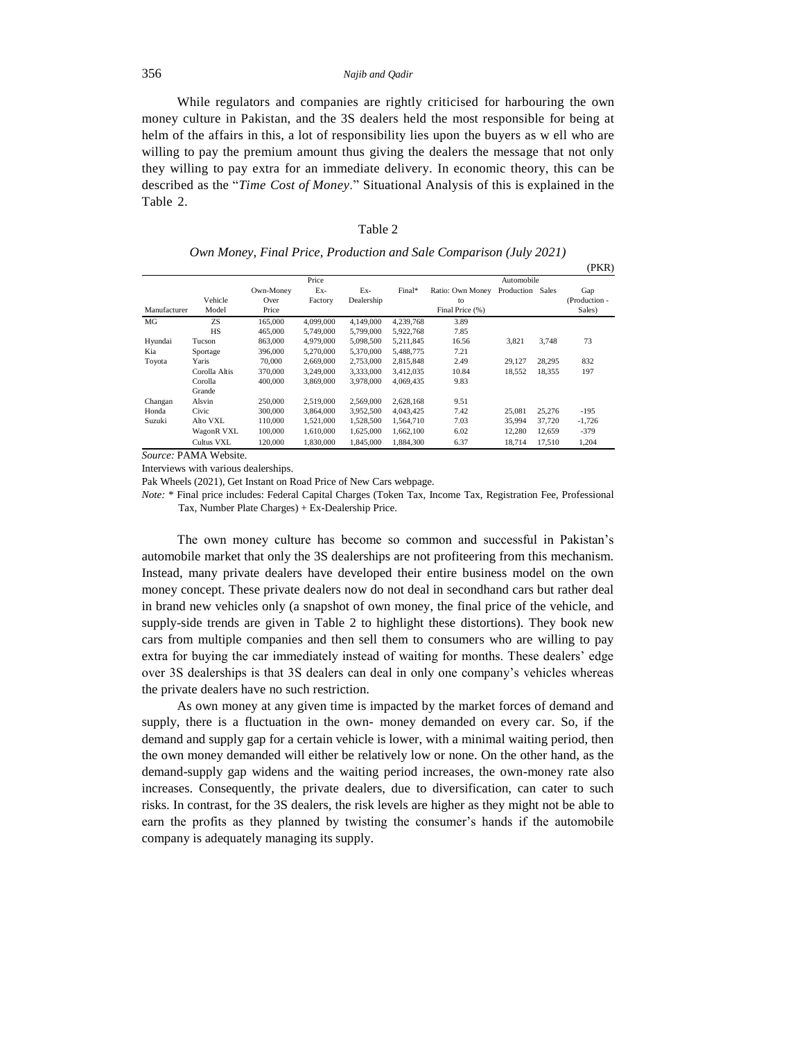#### 356 *Najib and Qadir*

While regulators and companies are rightly criticised for harbouring the own money culture in Pakistan, and the 3S dealers held the most responsible for being at helm of the affairs in this, a lot of responsibility lies upon the buyers as w ell who are willing to pay the premium amount thus giving the dealers the message that not only they willing to pay extra for an immediate delivery. In economic theory, this can be described as the "*Time Cost of Money*." Situational Analysis of this is explained in the Table 2.

| Own Money, Final Price, Production and Sale Comparison (July 2021) |  |  |  |  |  |  |
|--------------------------------------------------------------------|--|--|--|--|--|--|
|--------------------------------------------------------------------|--|--|--|--|--|--|

|                 |                                          |                            |                        |                        |                        |                                           |                  |                  | (PKR)                          |
|-----------------|------------------------------------------|----------------------------|------------------------|------------------------|------------------------|-------------------------------------------|------------------|------------------|--------------------------------|
|                 |                                          | Price                      |                        |                        |                        | Automobile                                |                  |                  |                                |
| Manufacturer    | Vehicle<br>Model                         | Own-Money<br>Over<br>Price | Ex-<br>Factory         | Ex-<br>Dealership      | Final*                 | Ratio: Own Money<br>to<br>Final Price (%) | Production       | Sales            | Gap<br>(Production -<br>Sales) |
| MG              | ZS.<br><b>HS</b>                         | 165,000<br>465,000         | 4,099,000<br>5,749,000 | 4.149.000<br>5,799,000 | 4.239.768<br>5,922,768 | 3.89<br>7.85                              |                  |                  |                                |
| Hyundai<br>Kia  | Tucson<br>Sportage                       | 863,000<br>396,000         | 4,979,000<br>5,270,000 | 5,098,500<br>5,370,000 | 5,211,845<br>5,488,775 | 16.56<br>7.21                             | 3,821            | 3,748            | 73                             |
| Toyota          | Yaris<br>Corolla Altis                   | 70,000<br>370,000          | 2,669,000<br>3,249,000 | 2,753,000<br>3,333,000 | 2,815,848<br>3,412,035 | 2.49<br>10.84                             | 29,127<br>18,552 | 28,295<br>18,355 | 832<br>197                     |
| Changan         | Corolla<br>Grande<br>Alsvin              | 400,000<br>250,000         | 3,869,000<br>2,519,000 | 3,978,000<br>2,569,000 | 4.069.435<br>2,628,168 | 9.83<br>9.51                              |                  |                  |                                |
| Honda<br>Suzuki | Civic<br>Alto VXL                        | 300,000<br>110,000         | 3,864,000<br>1.521.000 | 3,952,500<br>1,528,500 | 4,043,425<br>1.564.710 | 7.42<br>7.03                              | 25,081<br>35,994 | 25,276<br>37,720 | $-195$<br>$-1,726$             |
| $\sim$          | WagonR VXL<br>Cultus VXL<br>. <i>. .</i> | 100,000<br>120,000         | 1,610,000<br>1,830,000 | 1,625,000<br>1.845,000 | 1,662,100<br>1,884,300 | 6.02<br>6.37                              | 12,280<br>18,714 | 12,659<br>17,510 | $-379$<br>1,204                |

*Source:* PAMA Website.

Interviews with various dealerships.

Pak Wheels (2021), Get Instant on Road Price of New Cars webpage.

*Note:* \* Final price includes: Federal Capital Charges (Token Tax, Income Tax, Registration Fee, Professional Tax, Number Plate Charges) + Ex-Dealership Price.

The own money culture has become so common and successful in Pakistan's automobile market that only the 3S dealerships are not profiteering from this mechanism. Instead, many private dealers have developed their entire business model on the own money concept. These private dealers now do not deal in secondhand cars but rather deal in brand new vehicles only (a snapshot of own money, the final price of the vehicle, and supply-side trends are given in Table 2 to highlight these distortions). They book new cars from multiple companies and then sell them to consumers who are willing to pay extra for buying the car immediately instead of waiting for months. These dealers' edge over 3S dealerships is that 3S dealers can deal in only one company's vehicles whereas the private dealers have no such restriction.

As own money at any given time is impacted by the market forces of demand and supply, there is a fluctuation in the own- money demanded on every car. So, if the demand and supply gap for a certain vehicle is lower, with a minimal waiting period, then the own money demanded will either be relatively low or none. On the other hand, as the demand-supply gap widens and the waiting period increases, the own-money rate also increases. Consequently, the private dealers, due to diversification, can cater to such risks. In contrast, for the 3S dealers, the risk levels are higher as they might not be able to earn the profits as they planned by twisting the consumer's hands if the automobile company is adequately managing its supply.